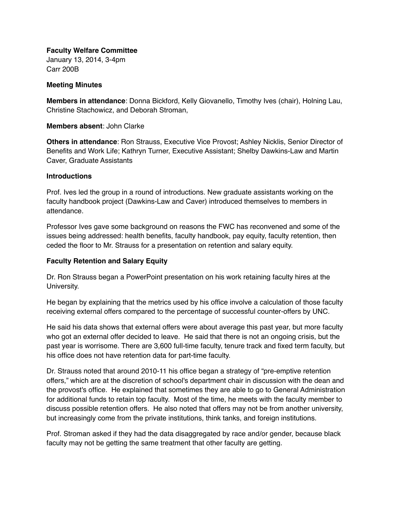**Faculty Welfare Committee**

January 13, 2014, 3-4pm Carr 200B

## **Meeting Minutes**

**Members in attendance**: Donna Bickford, Kelly Giovanello, Timothy Ives (chair), Holning Lau, Christine Stachowicz, and Deborah Stroman,

**Members absent**: John Clarke

**Others in attendance**: Ron Strauss, Executive Vice Provost; Ashley Nicklis, Senior Director of Benefits and Work Life; Kathryn Turner, Executive Assistant; Shelby Dawkins-Law and Martin Caver, Graduate Assistants

## **Introductions**

Prof. Ives led the group in a round of introductions. New graduate assistants working on the faculty handbook project (Dawkins-Law and Caver) introduced themselves to members in attendance.

Professor Ives gave some background on reasons the FWC has reconvened and some of the issues being addressed: health benefits, faculty handbook, pay equity, faculty retention, then ceded the floor to Mr. Strauss for a presentation on retention and salary equity.

## **Faculty Retention and Salary Equity**

Dr. Ron Strauss began a PowerPoint presentation on his work retaining faculty hires at the University.

He began by explaining that the metrics used by his office involve a calculation of those faculty receiving external offers compared to the percentage of successful counter-offers by UNC.

He said his data shows that external offers were about average this past year, but more faculty who got an external offer decided to leave. He said that there is not an ongoing crisis, but the past year is worrisome. There are 3,600 full-time faculty, tenure track and fixed term faculty, but his office does not have retention data for part-time faculty.

Dr. Strauss noted that around 2010-11 his office began a strategy of "pre-emptive retention offers," which are at the discretion of school's department chair in discussion with the dean and the provost's office. He explained that sometimes they are able to go to General Administration for additional funds to retain top faculty. Most of the time, he meets with the faculty member to discuss possible retention offers. He also noted that offers may not be from another university, but increasingly come from the private institutions, think tanks, and foreign institutions.

Prof. Stroman asked if they had the data disaggregated by race and/or gender, because black faculty may not be getting the same treatment that other faculty are getting.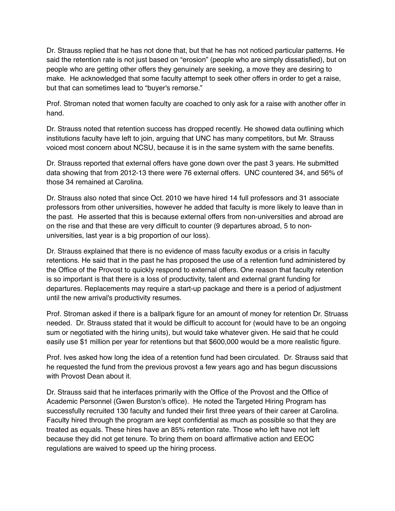Dr. Strauss replied that he has not done that, but that he has not noticed particular patterns. He said the retention rate is not just based on "erosion" (people who are simply dissatisfied), but on people who are getting other offers they genuinely are seeking, a move they are desiring to make. He acknowledged that some faculty attempt to seek other offers in order to get a raise, but that can sometimes lead to "buyer's remorse."

Prof. Stroman noted that women faculty are coached to only ask for a raise with another offer in hand.

Dr. Strauss noted that retention success has dropped recently. He showed data outlining which institutions faculty have left to join, arguing that UNC has many competitors, but Mr. Strauss voiced most concern about NCSU, because it is in the same system with the same benefits.

Dr. Strauss reported that external offers have gone down over the past 3 years. He submitted data showing that from 2012-13 there were 76 external offers. UNC countered 34, and 56% of those 34 remained at Carolina.

Dr. Strauss also noted that since Oct. 2010 we have hired 14 full professors and 31 associate professors from other universities, however he added that faculty is more likely to leave than in the past. He asserted that this is because external offers from non-universities and abroad are on the rise and that these are very difficult to counter (9 departures abroad, 5 to nonuniversities, last year is a big proportion of our loss).

Dr. Strauss explained that there is no evidence of mass faculty exodus or a crisis in faculty retentions. He said that in the past he has proposed the use of a retention fund administered by the Office of the Provost to quickly respond to external offers. One reason that faculty retention is so important is that there is a loss of productivity, talent and external grant funding for departures. Replacements may require a start-up package and there is a period of adjustment until the new arrival's productivity resumes.

Prof. Stroman asked if there is a ballpark figure for an amount of money for retention Dr. Struass needed. Dr. Strauss stated that it would be difficult to account for (would have to be an ongoing sum or negotiated with the hiring units), but would take whatever given. He said that he could easily use \$1 million per year for retentions but that \$600,000 would be a more realistic figure.

Prof. Ives asked how long the idea of a retention fund had been circulated. Dr. Strauss said that he requested the fund from the previous provost a few years ago and has begun discussions with Provost Dean about it.

Dr. Strauss said that he interfaces primarily with the Office of the Provost and the Office of Academic Personnel (Gwen Burston's office). He noted the Targeted Hiring Program has successfully recruited 130 faculty and funded their first three years of their career at Carolina. Faculty hired through the program are kept confidential as much as possible so that they are treated as equals. These hires have an 85% retention rate. Those who left have not left because they did not get tenure. To bring them on board affirmative action and EEOC regulations are waived to speed up the hiring process.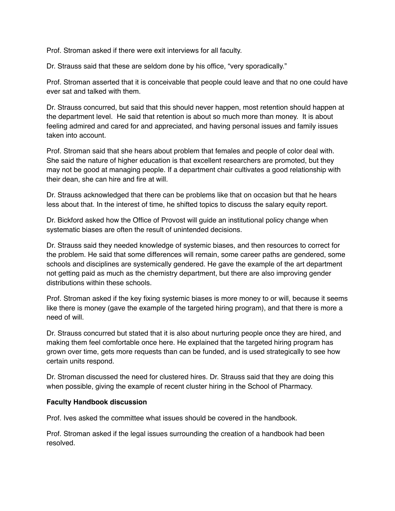Prof. Stroman asked if there were exit interviews for all faculty.

Dr. Strauss said that these are seldom done by his office, "very sporadically."

Prof. Stroman asserted that it is conceivable that people could leave and that no one could have ever sat and talked with them.

Dr. Strauss concurred, but said that this should never happen, most retention should happen at the department level. He said that retention is about so much more than money. It is about feeling admired and cared for and appreciated, and having personal issues and family issues taken into account.

Prof. Stroman said that she hears about problem that females and people of color deal with. She said the nature of higher education is that excellent researchers are promoted, but they may not be good at managing people. If a department chair cultivates a good relationship with their dean, she can hire and fire at will.

Dr. Strauss acknowledged that there can be problems like that on occasion but that he hears less about that. In the interest of time, he shifted topics to discuss the salary equity report.

Dr. Bickford asked how the Office of Provost will guide an institutional policy change when systematic biases are often the result of unintended decisions.

Dr. Strauss said they needed knowledge of systemic biases, and then resources to correct for the problem. He said that some differences will remain, some career paths are gendered, some schools and disciplines are systemically gendered. He gave the example of the art department not getting paid as much as the chemistry department, but there are also improving gender distributions within these schools.

Prof. Stroman asked if the key fixing systemic biases is more money to or will, because it seems like there is money (gave the example of the targeted hiring program), and that there is more a need of will.

Dr. Strauss concurred but stated that it is also about nurturing people once they are hired, and making them feel comfortable once here. He explained that the targeted hiring program has grown over time, gets more requests than can be funded, and is used strategically to see how certain units respond.

Dr. Stroman discussed the need for clustered hires. Dr. Strauss said that they are doing this when possible, giving the example of recent cluster hiring in the School of Pharmacy.

## **Faculty Handbook discussion**

Prof. Ives asked the committee what issues should be covered in the handbook.

Prof. Stroman asked if the legal issues surrounding the creation of a handbook had been resolved.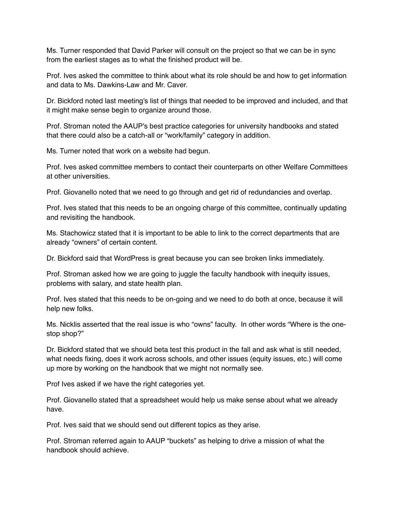Ms. Turner responded that David Parker will consult on the project so that we can be in sync from the earliest stages as to what the finished product will be.

Prof. Ives asked the committee to think about what its role should be and how to get information and data to Ms. Dawkins-Law and Mr. Caver.

Dr. Bickford noted last meeting's list of things that needed to be improved and included, and that it might make sense begin to organize around those.

Prof. Stroman noted the AAUP's best practice categories for university handbooks and stated that there could also be a catch-all or "work/family" category in addition.

Ms. Turner noted that work on a website had begun.

Prof. Ives asked committee members to contact their counterparts on other Welfare Committees at other universities.

Prof. Giovanello noted that we need to go through and get rid of redundancies and overlap.

Prof. Ives stated that this needs to be an ongoing charge of this committee, continually updating and revisiting the handbook.

Ms. Stachowicz stated that it is important to be able to link to the correct departments that are already "owners" of certain content.

Dr. Bickford said that WordPress is great because you can see broken links immediately.

Prof. Stroman asked how we are going to juggle the faculty handbook with inequity issues, problems with salary, and state health plan.

Prof. Ives stated that this needs to be on-going and we need to do both at once, because it will help new folks.

Ms. Nicklis asserted that the real issue is who "owns" faculty. In other words "Where is the onestop shop?"

Dr. Bickford stated that we should beta test this product in the fall and ask what is still needed, what needs fixing, does it work across schools, and other issues (equity issues, etc.) will come up more by working on the handbook that we might not normally see.

Prof Ives asked if we have the right categories yet.

Prof. Giovanello stated that a spreadsheet would help us make sense about what we already have.

Prof. Ives said that we should send out different topics as they arise.

Prof. Stroman referred again to AAUP "buckets" as helping to drive a mission of what the handbook should achieve.